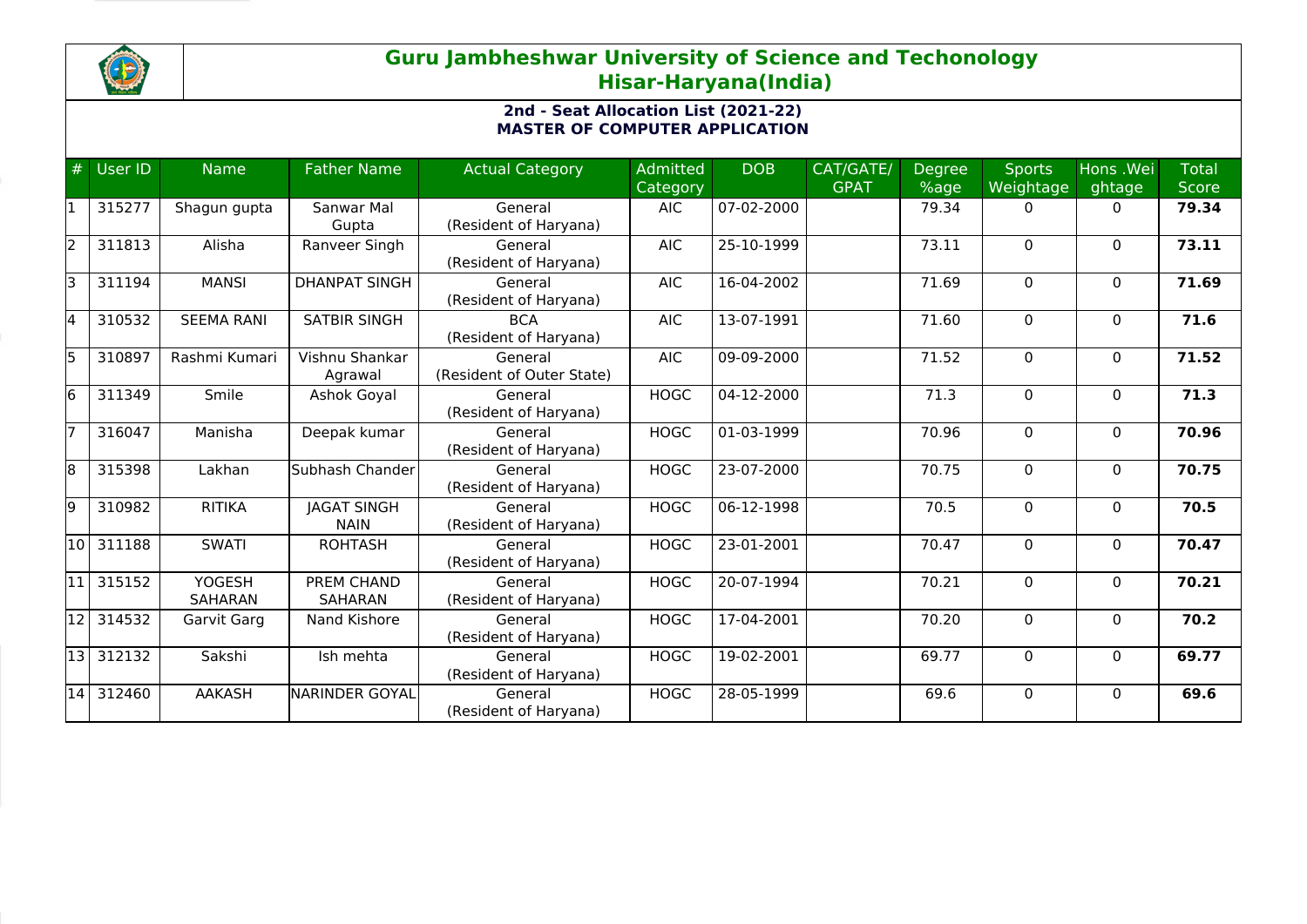

## **Guru Jambheshwar University of Science and Techonology Hisar-Haryana(India)**

## **2nd - Seat Allocation List (2021-22) MASTER OF COMPUTER APPLICATION**

| #     | User ID | <b>Name</b>                     | <b>Father Name</b>                | <b>Actual Category</b>               | <b>Admitted</b><br>Category | <b>DOB</b> | CAT/GATE/<br><b>GPAT</b> | <b>Degree</b><br>%age | <b>Sports</b><br>Weightage | Hons .Wei<br>ghtage | <b>Total</b><br><b>Score</b> |
|-------|---------|---------------------------------|-----------------------------------|--------------------------------------|-----------------------------|------------|--------------------------|-----------------------|----------------------------|---------------------|------------------------------|
|       | 315277  | Shagun gupta                    | Sanwar Mal<br>Gupta               | General<br>(Resident of Haryana)     | <b>AIC</b>                  | 07-02-2000 |                          | 79.34                 | 0                          | $\mathbf{0}$        | 79.34                        |
| l2    | 311813  | Alisha                          | Ranveer Singh                     | General<br>(Resident of Haryana)     | <b>AIC</b>                  | 25-10-1999 |                          | 73.11                 | $\Omega$                   | $\mathbf{0}$        | 73.11                        |
| l3    | 311194  | <b>MANSI</b>                    | <b>DHANPAT SINGH</b>              | General<br>(Resident of Haryana)     | <b>AIC</b>                  | 16-04-2002 |                          | 71.69                 | $\Omega$                   | $\mathbf{0}$        | 71.69                        |
| l4    | 310532  | <b>SEEMA RANI</b>               | <b>SATBIR SINGH</b>               | <b>BCA</b><br>(Resident of Haryana)  | <b>AIC</b>                  | 13-07-1991 |                          | 71.60                 | $\Omega$                   | $\mathbf{0}$        | 71.6                         |
| l5    | 310897  | Rashmi Kumari                   | Vishnu Shankar<br>Agrawal         | General<br>(Resident of Outer State) | <b>AIC</b>                  | 09-09-2000 |                          | 71.52                 | $\Omega$                   | 0                   | 71.52                        |
| l6    | 311349  | Smile                           | Ashok Goyal                       | General<br>(Resident of Haryana)     | <b>HOGC</b>                 | 04-12-2000 |                          | 71.3                  | $\Omega$                   | $\mathbf{0}$        | 71.3                         |
|       | 316047  | Manisha                         | Deepak kumar                      | General<br>(Resident of Haryana)     | <b>HOGC</b>                 | 01-03-1999 |                          | 70.96                 | 0                          | $\mathbf{0}$        | 70.96                        |
| 18    | 315398  | Lakhan                          | Subhash Chander                   | General<br>(Resident of Haryana)     | <b>HOGC</b>                 | 23-07-2000 |                          | 70.75                 | 0                          | $\mathbf{0}$        | 70.75                        |
| l9    | 310982  | <b>RITIKA</b>                   | <b>JAGAT SINGH</b><br><b>NAIN</b> | General<br>(Resident of Haryana)     | <b>HOGC</b>                 | 06-12-1998 |                          | 70.5                  | 0                          | $\mathbf{0}$        | 70.5                         |
| 10    | 311188  | <b>SWATI</b>                    | <b>ROHTASH</b>                    | General<br>(Resident of Haryana)     | <b>HOGC</b>                 | 23-01-2001 |                          | 70.47                 | $\Omega$                   | $\Omega$            | 70.47                        |
| 11    | 315152  | <b>YOGESH</b><br><b>SAHARAN</b> | PREM CHAND<br><b>SAHARAN</b>      | General<br>(Resident of Haryana)     | <b>HOGC</b>                 | 20-07-1994 |                          | 70.21                 | $\Omega$                   | $\mathbf{0}$        | 70.21                        |
| 12    | 314532  | Garvit Garg                     | Nand Kishore                      | General<br>(Resident of Haryana)     | <b>HOGC</b>                 | 17-04-2001 |                          | 70.20                 | $\Omega$                   | $\mathbf{0}$        | 70.2                         |
| l13 l | 312132  | Sakshi                          | Ish mehta                         | General<br>(Resident of Haryana)     | <b>HOGC</b>                 | 19-02-2001 |                          | 69.77                 | $\Omega$                   | $\mathbf{0}$        | 69.77                        |
| 14    | 312460  | <b>AAKASH</b>                   | <b>NARINDER GOYAL</b>             | General<br>(Resident of Haryana)     | <b>HOGC</b>                 | 28-05-1999 |                          | 69.6                  | $\Omega$                   | $\Omega$            | 69.6                         |